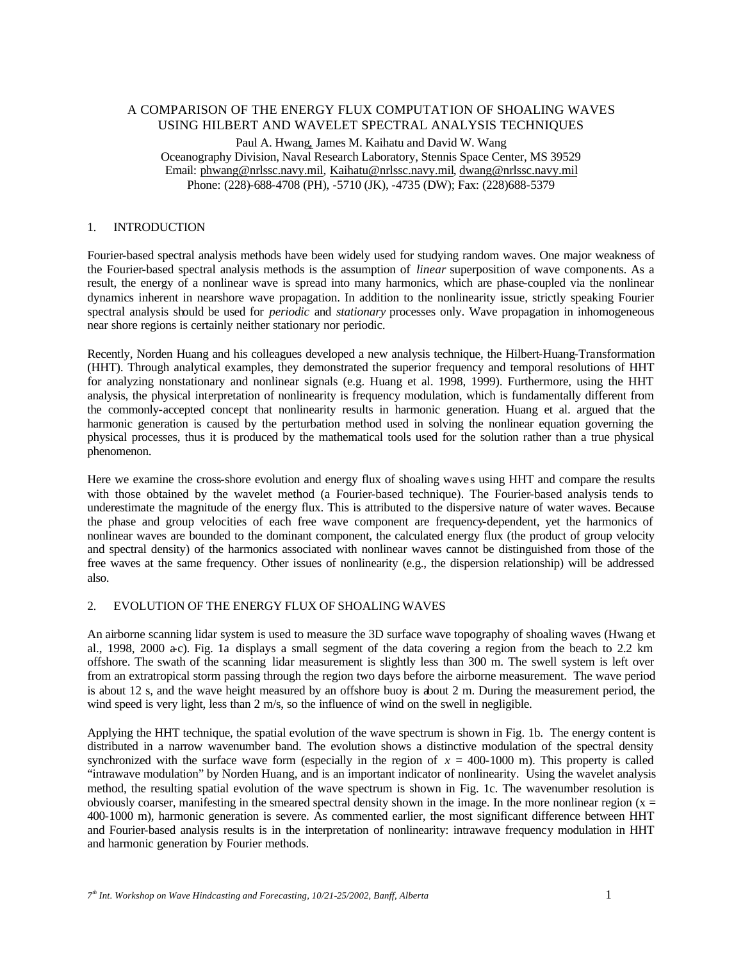# A COMPARISON OF THE ENERGY FLUX COMPUTATION OF SHOALING WAVES USING HILBERT AND WAVELET SPECTRAL ANALYSIS TECHNIQUES

Paul A. Hwang, James M. Kaihatu and David W. Wang Oceanography Division, Naval Research Laboratory, Stennis Space Center, MS 39529 Email: phwang@nrlssc.navy.mil, Kaihatu@nrlssc.navy.mil, dwang@nrlssc.navy.mil Phone: (228)-688-4708 (PH), -5710 (JK), -4735 (DW); Fax: (228)688-5379

## 1. INTRODUCTION

Fourier-based spectral analysis methods have been widely used for studying random waves. One major weakness of the Fourier-based spectral analysis methods is the assumption of *linear* superposition of wave components. As a result, the energy of a nonlinear wave is spread into many harmonics, which are phase-coupled via the nonlinear dynamics inherent in nearshore wave propagation. In addition to the nonlinearity issue, strictly speaking Fourier spectral analysis should be used for *periodic* and *stationary* processes only. Wave propagation in inhomogeneous near shore regions is certainly neither stationary nor periodic.

Recently, Norden Huang and his colleagues developed a new analysis technique, the Hilbert-Huang-Transformation (HHT). Through analytical examples, they demonstrated the superior frequency and temporal resolutions of HHT for analyzing nonstationary and nonlinear signals (e.g. Huang et al. 1998, 1999). Furthermore, using the HHT analysis, the physical interpretation of nonlinearity is frequency modulation, which is fundamentally different from the commonly-accepted concept that nonlinearity results in harmonic generation. Huang et al. argued that the harmonic generation is caused by the perturbation method used in solving the nonlinear equation governing the physical processes, thus it is produced by the mathematical tools used for the solution rather than a true physical phenomenon.

Here we examine the cross-shore evolution and energy flux of shoaling waves using HHT and compare the results with those obtained by the wavelet method (a Fourier-based technique). The Fourier-based analysis tends to underestimate the magnitude of the energy flux. This is attributed to the dispersive nature of water waves. Because the phase and group velocities of each free wave component are frequency-dependent, yet the harmonics of nonlinear waves are bounded to the dominant component, the calculated energy flux (the product of group velocity and spectral density) of the harmonics associated with nonlinear waves cannot be distinguished from those of the free waves at the same frequency. Other issues of nonlinearity (e.g., the dispersion relationship) will be addressed also.

#### 2. EVOLUTION OF THE ENERGY FLUX OF SHOALING WAVES

An airborne scanning lidar system is used to measure the 3D surface wave topography of shoaling waves (Hwang et al., 1998, 2000 a-c). Fig. 1a displays a small segment of the data covering a region from the beach to 2.2 km offshore. The swath of the scanning lidar measurement is slightly less than 300 m. The swell system is left over from an extratropical storm passing through the region two days before the airborne measurement. The wave period is about 12 s, and the wave height measured by an offshore buoy is about 2 m. During the measurement period, the wind speed is very light, less than 2 m/s, so the influence of wind on the swell in negligible.

Applying the HHT technique, the spatial evolution of the wave spectrum is shown in Fig. 1b. The energy content is distributed in a narrow wavenumber band. The evolution shows a distinctive modulation of the spectral density synchronized with the surface wave form (especially in the region of  $x = 400-1000$  m). This property is called "intrawave modulation" by Norden Huang, and is an important indicator of nonlinearity. Using the wavelet analysis method, the resulting spatial evolution of the wave spectrum is shown in Fig. 1c. The wavenumber resolution is obviously coarser, manifesting in the smeared spectral density shown in the image. In the more nonlinear region ( $x =$ 400-1000 m), harmonic generation is severe. As commented earlier, the most significant difference between HHT and Fourier-based analysis results is in the interpretation of nonlinearity: intrawave frequency modulation in HHT and harmonic generation by Fourier methods.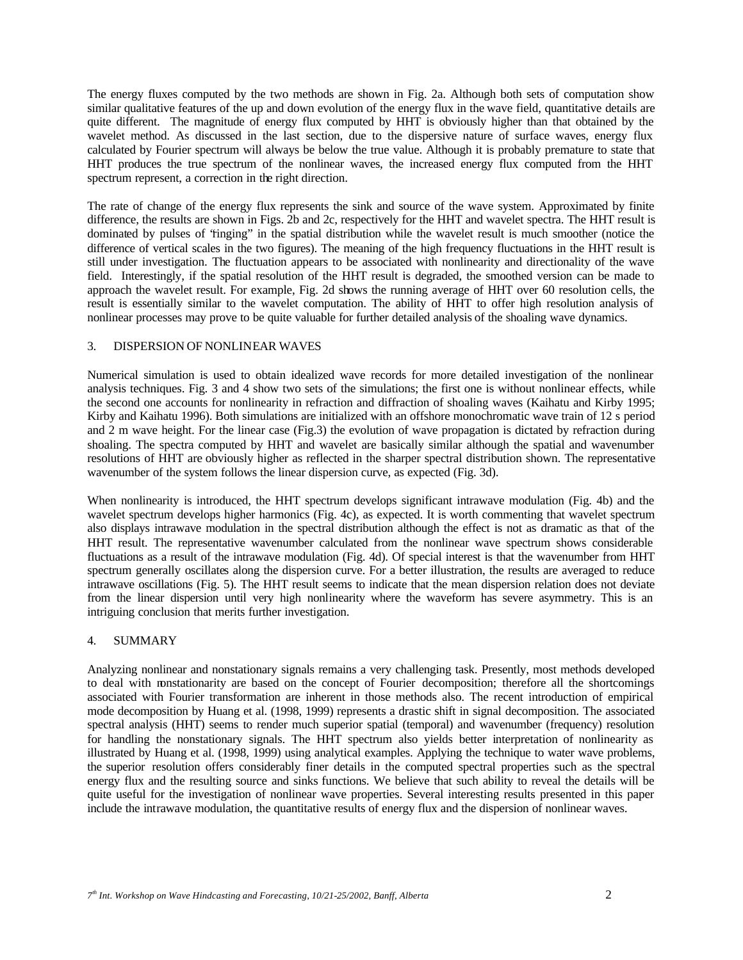The energy fluxes computed by the two methods are shown in Fig. 2a. Although both sets of computation show similar qualitative features of the up and down evolution of the energy flux in the wave field, quantitative details are quite different. The magnitude of energy flux computed by HHT is obviously higher than that obtained by the wavelet method. As discussed in the last section, due to the dispersive nature of surface waves, energy flux calculated by Fourier spectrum will always be below the true value. Although it is probably premature to state that HHT produces the true spectrum of the nonlinear waves, the increased energy flux computed from the HHT spectrum represent, a correction in the right direction.

The rate of change of the energy flux represents the sink and source of the wave system. Approximated by finite difference, the results are shown in Figs. 2b and 2c, respectively for the HHT and wavelet spectra. The HHT result is dominated by pulses of 'finging'' in the spatial distribution while the wavelet result is much smoother (notice the difference of vertical scales in the two figures). The meaning of the high frequency fluctuations in the HHT result is still under investigation. The fluctuation appears to be associated with nonlinearity and directionality of the wave field. Interestingly, if the spatial resolution of the HHT result is degraded, the smoothed version can be made to approach the wavelet result. For example, Fig. 2d shows the running average of HHT over 60 resolution cells, the result is essentially similar to the wavelet computation. The ability of HHT to offer high resolution analysis of nonlinear processes may prove to be quite valuable for further detailed analysis of the shoaling wave dynamics.

### 3. DISPERSION OF NONLINEAR WAVES

Numerical simulation is used to obtain idealized wave records for more detailed investigation of the nonlinear analysis techniques. Fig. 3 and 4 show two sets of the simulations; the first one is without nonlinear effects, while the second one accounts for nonlinearity in refraction and diffraction of shoaling waves (Kaihatu and Kirby 1995; Kirby and Kaihatu 1996). Both simulations are initialized with an offshore monochromatic wave train of 12 s period and 2 m wave height. For the linear case (Fig.3) the evolution of wave propagation is dictated by refraction during shoaling. The spectra computed by HHT and wavelet are basically similar although the spatial and wavenumber resolutions of HHT are obviously higher as reflected in the sharper spectral distribution shown. The representative wavenumber of the system follows the linear dispersion curve, as expected (Fig. 3d).

When nonlinearity is introduced, the HHT spectrum develops significant intrawave modulation (Fig. 4b) and the wavelet spectrum develops higher harmonics (Fig. 4c), as expected. It is worth commenting that wavelet spectrum also displays intrawave modulation in the spectral distribution although the effect is not as dramatic as that of the HHT result. The representative wavenumber calculated from the nonlinear wave spectrum shows considerable fluctuations as a result of the intrawave modulation (Fig. 4d). Of special interest is that the wavenumber from HHT spectrum generally oscillates along the dispersion curve. For a better illustration, the results are averaged to reduce intrawave oscillations (Fig. 5). The HHT result seems to indicate that the mean dispersion relation does not deviate from the linear dispersion until very high nonlinearity where the waveform has severe asymmetry. This is an intriguing conclusion that merits further investigation.

#### 4. SUMMARY

Analyzing nonlinear and nonstationary signals remains a very challenging task. Presently, most methods developed to deal with nonstationarity are based on the concept of Fourier decomposition; therefore all the shortcomings associated with Fourier transformation are inherent in those methods also. The recent introduction of empirical mode decomposition by Huang et al. (1998, 1999) represents a drastic shift in signal decomposition. The associated spectral analysis (HHT) seems to render much superior spatial (temporal) and wavenumber (frequency) resolution for handling the nonstationary signals. The HHT spectrum also yields better interpretation of nonlinearity as illustrated by Huang et al. (1998, 1999) using analytical examples. Applying the technique to water wave problems, the superior resolution offers considerably finer details in the computed spectral properties such as the spectral energy flux and the resulting source and sinks functions. We believe that such ability to reveal the details will be quite useful for the investigation of nonlinear wave properties. Several interesting results presented in this paper include the intrawave modulation, the quantitative results of energy flux and the dispersion of nonlinear waves.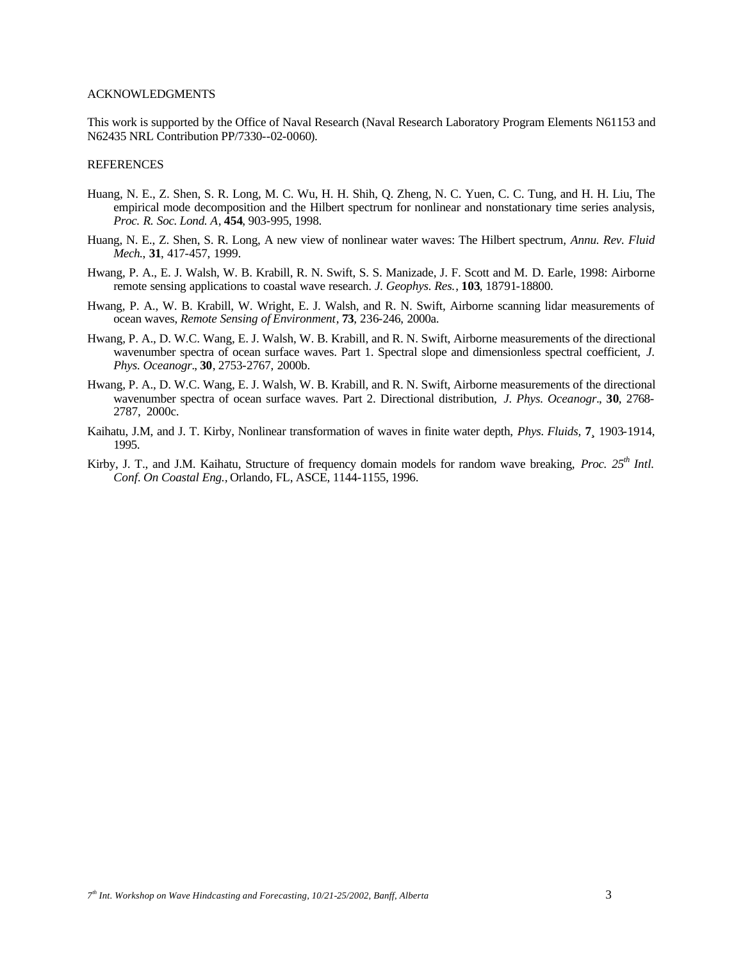### ACKNOWLEDGMENTS

This work is supported by the Office of Naval Research (Naval Research Laboratory Program Elements N61153 and N62435 NRL Contribution PP/7330--02-0060).

#### REFERENCES

- Huang, N. E., Z. Shen, S. R. Long, M. C. Wu, H. H. Shih, Q. Zheng, N. C. Yuen, C. C. Tung, and H. H. Liu, The empirical mode decomposition and the Hilbert spectrum for nonlinear and nonstationary time series analysis, *Proc. R. Soc. Lond. A*, **454**, 903-995, 1998.
- Huang, N. E., Z. Shen, S. R. Long, A new view of nonlinear water waves: The Hilbert spectrum, *Annu. Rev. Fluid Mech.*, **31**, 417-457, 1999.
- Hwang, P. A., E. J. Walsh, W. B. Krabill, R. N. Swift, S. S. Manizade, J. F. Scott and M. D. Earle, 1998: Airborne remote sensing applications to coastal wave research. *J. Geophys. Res.*, **103**, 18791-18800.
- Hwang, P. A., W. B. Krabill, W. Wright, E. J. Walsh, and R. N. Swift, Airborne scanning lidar measurements of ocean waves, *Remote Sensing of Environment*, **73**, 236-246, 2000a.
- Hwang, P. A., D. W.C. Wang, E. J. Walsh, W. B. Krabill, and R. N. Swift, Airborne measurements of the directional wavenumber spectra of ocean surface waves. Part 1. Spectral slope and dimensionless spectral coefficient, *J. Phys. Oceanogr.*, **30**, 2753-2767, 2000b.
- Hwang, P. A., D. W.C. Wang, E. J. Walsh, W. B. Krabill, and R. N. Swift, Airborne measurements of the directional wavenumber spectra of ocean surface waves. Part 2. Directional distribution, *J. Phys. Oceanogr.*, **30**, 2768- 2787, 2000c.
- Kaihatu, J.M, and J. T. Kirby, Nonlinear transformation of waves in finite water depth, *Phys. Fluids,* **7¸** 1903-1914, 1995.
- Kirby, J. T., and J.M. Kaihatu, Structure of frequency domain models for random wave breaking, *Proc.* 25<sup>th</sup> Intl. *Conf. On Coastal Eng.,* Orlando, FL, ASCE, 1144-1155, 1996.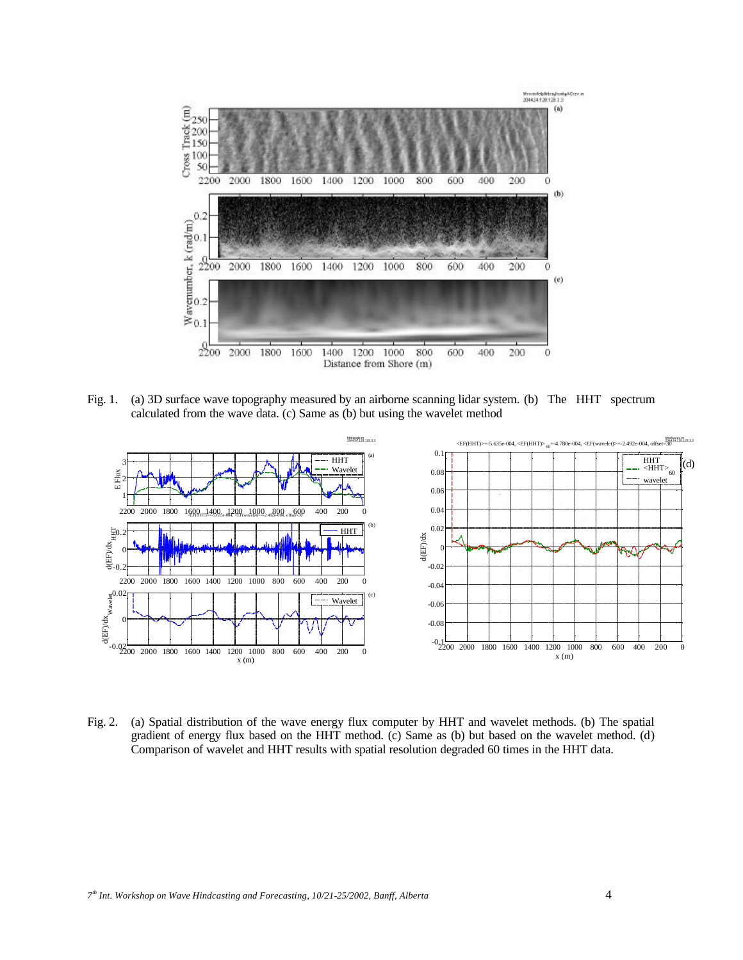

Fig. 1. (a) 3D surface wave topography measured by an airborne scanning lidar system. (b) The HHT spectrum calculated from the wave data. (c) Same as (b) but using the wavelet method



Fig. 2. (a) Spatial distribution of the wave energy flux computer by HHT and wavelet methods. (b) The spatial gradient of energy flux based on the HHT method. (c) Same as (b) but based on the wavelet method. (d) Comparison of wavelet and HHT results with spatial resolution degraded 60 times in the HHT data.